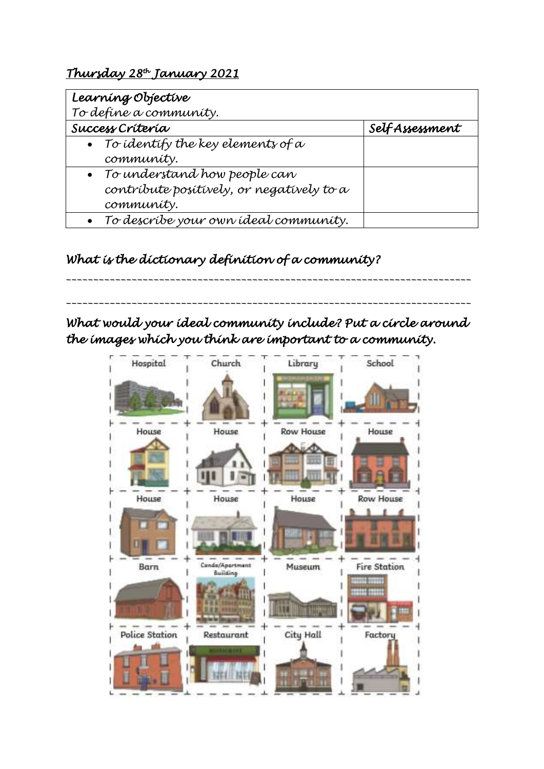## *Thursday 28th January 2021*

| Learning Objective<br>To define a community.                                              |                |
|-------------------------------------------------------------------------------------------|----------------|
| Success Criteria                                                                          | SelfAssessment |
| • To identify the key elements of $\alpha$<br>community.                                  |                |
| • To understand how people can<br>contribute positively, or negatively to a<br>community. |                |
| • To describe your own ideal community.                                                   |                |

## *What is the dictionary definition of a community?*

*What would your ideal community include? Put a circle around the images which you think are important to a community.* 

*\_\_\_\_\_\_\_\_\_\_\_\_\_\_\_\_\_\_\_\_\_\_\_\_\_\_\_\_\_\_\_\_\_\_\_\_\_\_\_\_\_\_\_\_\_\_\_\_\_\_\_\_\_\_\_\_\_\_\_\_\_\_\_\_\_\_\_\_\_\_\_\_\_\_*

*\_\_\_\_\_\_\_\_\_\_\_\_\_\_\_\_\_\_\_\_\_\_\_\_\_\_\_\_\_\_\_\_\_\_\_\_\_\_\_\_\_\_\_\_\_\_\_\_\_\_\_\_\_\_\_\_\_\_\_\_\_\_\_\_\_\_\_\_\_\_\_\_\_\_*

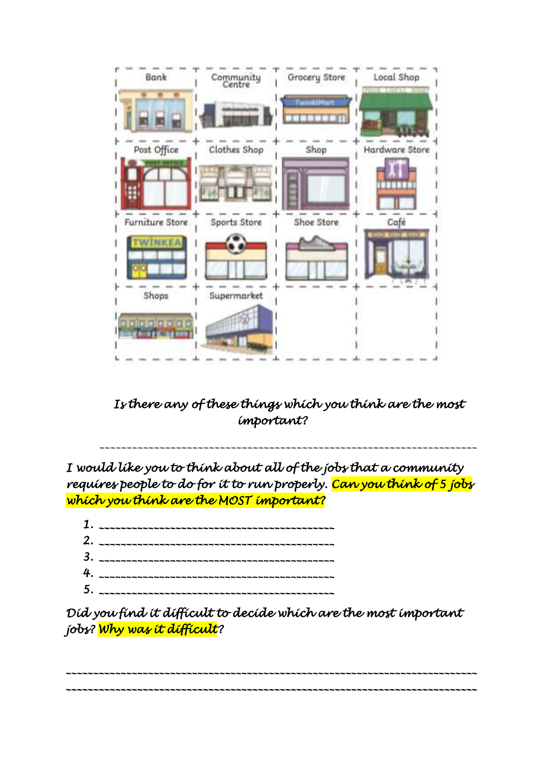

*Is there any of these things which you think are the most important?* 

*\_\_\_\_\_\_\_\_\_\_\_\_\_\_\_\_\_\_\_\_\_\_\_\_\_\_\_\_\_\_\_\_\_\_\_\_\_\_\_\_\_\_\_\_\_\_\_\_\_\_\_\_\_\_\_\_\_\_\_\_\_\_\_\_\_\_\_\_\_*

*I would like you to think about all of the jobs that a community requires people to do for it to run properly. Can you think of 5 jobs which you think are the MOST important?* 

*Did you find it difficult to decide which are the most important jobs? Why was it difficult?* 

*\_\_\_\_\_\_\_\_\_\_\_\_\_\_\_\_\_\_\_\_\_\_\_\_\_\_\_\_\_\_\_\_\_\_\_\_\_\_\_\_\_\_\_\_\_\_\_\_\_\_\_\_\_\_\_\_\_\_\_\_\_\_\_\_\_\_\_\_\_\_\_\_\_\_\_ \_\_\_\_\_\_\_\_\_\_\_\_\_\_\_\_\_\_\_\_\_\_\_\_\_\_\_\_\_\_\_\_\_\_\_\_\_\_\_\_\_\_\_\_\_\_\_\_\_\_\_\_\_\_\_\_\_\_\_\_\_\_\_\_\_\_\_\_\_\_\_\_\_\_\_*